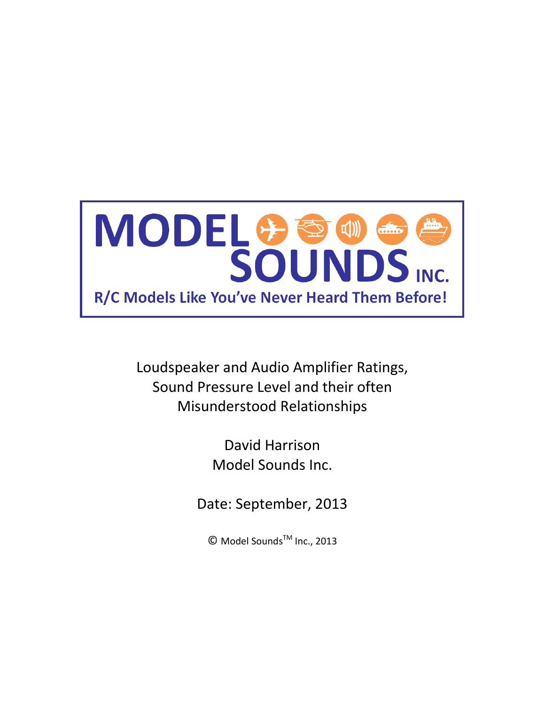

> David Harrison Model Sounds Inc.

Date: September, 2013

© Model SoundsTM Inc., 2013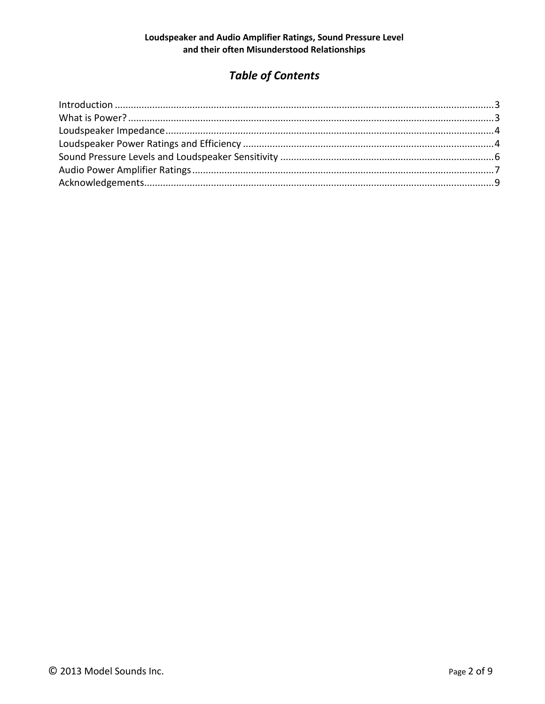# **Table of Contents**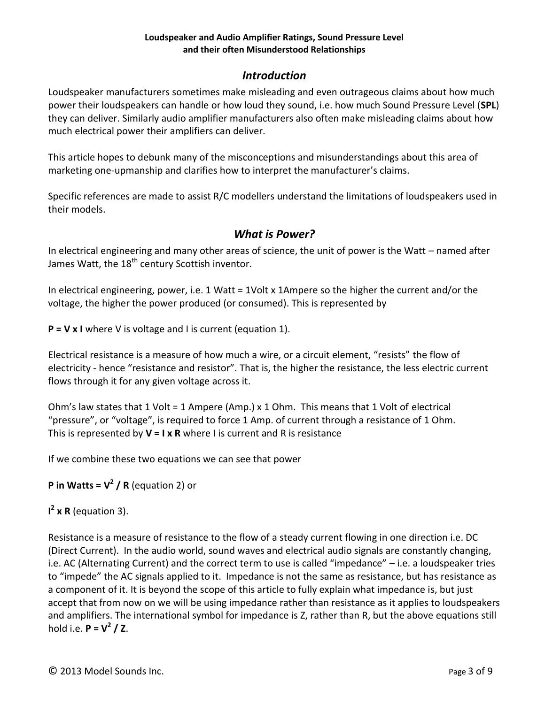### *Introduction*

<span id="page-2-0"></span>Loudspeaker manufacturers sometimes make misleading and even outrageous claims about how much power their loudspeakers can handle or how loud they sound, i.e. how much Sound Pressure Level (**SPL**) they can deliver. Similarly audio amplifier manufacturers also often make misleading claims about how much electrical power their amplifiers can deliver.

This article hopes to debunk many of the misconceptions and misunderstandings about this area of marketing one-upmanship and clarifies how to interpret the manufacturer's claims.

<span id="page-2-1"></span>Specific references are made to assist R/C modellers understand the limitations of loudspeakers used in their models.

### *What is Power?*

In electrical engineering and many other areas of science, the unit of power is the Watt – named after James Watt, the 18<sup>th</sup> century Scottish inventor.

In electrical engineering, power, i.e. 1 Watt = 1Volt x 1Ampere so the higher the current and/or the voltage, the higher the power produced (or consumed). This is represented by

**P = V x I** where V is voltage and I is current (equation 1).

Electrical resistance is a measure of how much a wire, or a circuit element, "resists" the flow of electricity - hence "resistance and resistor". That is, the higher the resistance, the less electric current flows through it for any given voltage across it.

Ohm's law states that 1 Volt = 1 Ampere (Amp.) x 1 Ohm. This means that 1 Volt of electrical "pressure", or "voltage", is required to force 1 Amp. of current through a resistance of 1 Ohm. This is represented by **V = I x R** where I is current and R is resistance

If we combine these two equations we can see that power

**P in Watts = V<sup>2</sup> / R** (equation 2) or

**I 2 x R** (equation 3).

Resistance is a measure of resistance to the flow of a steady current flowing in one direction i.e. DC (Direct Current). In the audio world, sound waves and electrical audio signals are constantly changing, i.e. AC (Alternating Current) and the correct term to use is called "impedance" – i.e. a loudspeaker tries to "impede" the AC signals applied to it. Impedance is not the same as resistance, but has resistance as a component of it. It is beyond the scope of this article to fully explain what impedance is, but just accept that from now on we will be using impedance rather than resistance as it applies to loudspeakers and amplifiers. The international symbol for impedance is Z, rather than R, but the above equations still hold i.e. **P = V<sup>2</sup> / Z**.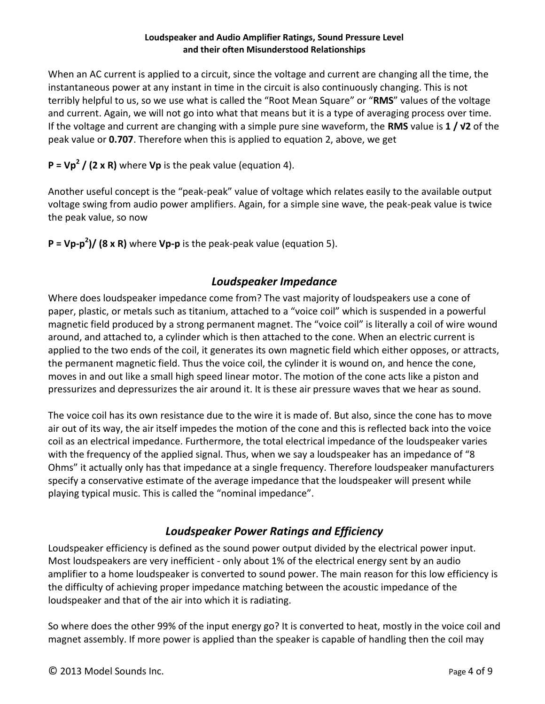When an AC current is applied to a circuit, since the voltage and current are changing all the time, the instantaneous power at any instant in time in the circuit is also continuously changing. This is not terribly helpful to us, so we use what is called the "Root Mean Square" or "**RMS**" values of the voltage and current. Again, we will not go into what that means but it is a type of averaging process over time. If the voltage and current are changing with a simple pure sine waveform, the **RMS** value is **1 / √2** of the peak value or **0.707**. Therefore when this is applied to equation 2, above, we get

**P = Vp<sup>2</sup> / (2 x R)** where **Vp** is the peak value (equation 4).

Another useful concept is the "peak-peak" value of voltage which relates easily to the available output voltage swing from audio power amplifiers. Again, for a simple sine wave, the peak-peak value is twice the peak value, so now

<span id="page-3-0"></span>**P = Vp-p 2 )/ (8 x R)** where **Vp-p** is the peak-peak value (equation 5).

### *Loudspeaker Impedance*

Where does loudspeaker impedance come from? The vast majority of loudspeakers use a cone of paper, plastic, or metals such as titanium, attached to a "voice coil" which is suspended in a powerful magnetic field produced by a strong permanent magnet. The "voice coil" is literally a coil of wire wound around, and attached to, a cylinder which is then attached to the cone. When an electric current is applied to the two ends of the coil, it generates its own magnetic field which either opposes, or attracts, the permanent magnetic field. Thus the voice coil, the cylinder it is wound on, and hence the cone, moves in and out like a small high speed linear motor. The motion of the cone acts like a piston and pressurizes and depressurizes the air around it. It is these air pressure waves that we hear as sound.

The voice coil has its own resistance due to the wire it is made of. But also, since the cone has to move air out of its way, the air itself impedes the motion of the cone and this is reflected back into the voice coil as an electrical impedance. Furthermore, the total electrical impedance of the loudspeaker varies with the frequency of the applied signal. Thus, when we say a loudspeaker has an impedance of "8 Ohms" it actually only has that impedance at a single frequency. Therefore loudspeaker manufacturers specify a conservative estimate of the average impedance that the loudspeaker will present while playing typical music. This is called the "nominal impedance".

# *Loudspeaker Power Ratings and Efficiency*

<span id="page-3-1"></span>Loudspeaker efficiency is defined as the sound power output divided by the electrical power input. Most loudspeakers are very inefficient - only about 1% of the electrical energy sent by an audio amplifier to a home loudspeaker is converted to sound power. The main reason for this low efficiency is the difficulty of achieving proper impedance matching between the acoustic impedance of the loudspeaker and that of the air into which it is radiating.

So where does the other 99% of the input energy go? It is converted to heat, mostly in the voice coil and magnet assembly. If more power is applied than the speaker is capable of handling then the coil may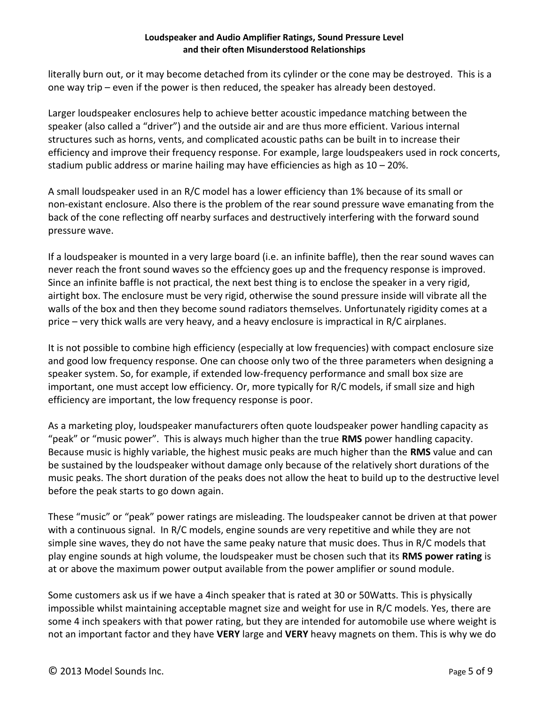literally burn out, or it may become detached from its cylinder or the cone may be destroyed. This is a one way trip – even if the power is then reduced, the speaker has already been destoyed.

Larger loudspeaker enclosures help to achieve better acoustic impedance matching between the speaker (also called a "driver") and the outside air and are thus more efficient. Various internal structures such as horns, vents, and complicated acoustic paths can be built in to increase their efficiency and improve their frequency response. For example, large loudspeakers used in rock concerts, stadium public address or marine hailing may have efficiencies as high as 10 – 20%.

A small loudspeaker used in an R/C model has a lower efficiency than 1% because of its small or non-existant enclosure. Also there is the problem of the rear sound pressure wave emanating from the back of the cone reflecting off nearby surfaces and destructively interfering with the forward sound pressure wave.

If a loudspeaker is mounted in a very large board (i.e. an infinite baffle), then the rear sound waves can never reach the front sound waves so the effciency goes up and the frequency response is improved. Since an infinite baffle is not practical, the next best thing is to enclose the speaker in a very rigid, airtight box. The enclosure must be very rigid, otherwise the sound pressure inside will vibrate all the walls of the box and then they become sound radiators themselves. Unfortunately rigidity comes at a price – very thick walls are very heavy, and a heavy enclosure is impractical in R/C airplanes.

It is not possible to combine high efficiency (especially at low frequencies) with compact enclosure size and good low frequency response. One can choose only two of the three parameters when designing a speaker system. So, for example, if extended low-frequency performance and small box size are important, one must accept low efficiency. Or, more typically for R/C models, if small size and high efficiency are important, the low frequency response is poor.

As a marketing ploy, loudspeaker manufacturers often quote loudspeaker power handling capacity as "peak" or "music power". This is always much higher than the true **RMS** power handling capacity. Because music is highly variable, the highest music peaks are much higher than the **RMS** value and can be sustained by the loudspeaker without damage only because of the relatively short durations of the music peaks. The short duration of the peaks does not allow the heat to build up to the destructive level before the peak starts to go down again.

These "music" or "peak" power ratings are misleading. The loudspeaker cannot be driven at that power with a continuous signal. In R/C models, engine sounds are very repetitive and while they are not simple sine waves, they do not have the same peaky nature that music does. Thus in R/C models that play engine sounds at high volume, the loudspeaker must be chosen such that its **RMS power rating** is at or above the maximum power output available from the power amplifier or sound module.

Some customers ask us if we have a 4inch speaker that is rated at 30 or 50Watts. This is physically impossible whilst maintaining acceptable magnet size and weight for use in R/C models. Yes, there are some 4 inch speakers with that power rating, but they are intended for automobile use where weight is not an important factor and they have **VERY** large and **VERY** heavy magnets on them. This is why we do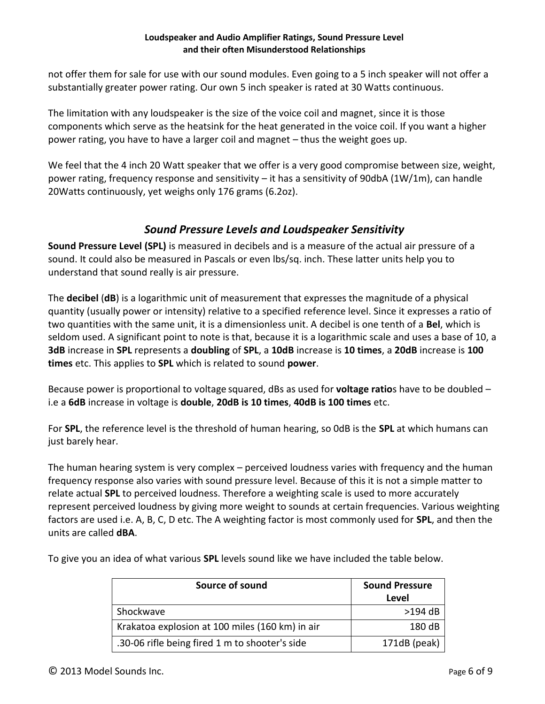not offer them for sale for use with our sound modules. Even going to a 5 inch speaker will not offer a substantially greater power rating. Our own 5 inch speaker is rated at 30 Watts continuous.

The limitation with any loudspeaker is the size of the voice coil and magnet, since it is those components which serve as the heatsink for the heat generated in the voice coil. If you want a higher power rating, you have to have a larger coil and magnet – thus the weight goes up.

We feel that the 4 inch 20 Watt speaker that we offer is a very good compromise between size, weight, power rating, frequency response and sensitivity – it has a sensitivity of 90dbA (1W/1m), can handle 20Watts continuously, yet weighs only 176 grams (6.2oz).

### *Sound Pressure Levels and Loudspeaker Sensitivity*

<span id="page-5-0"></span>**Sound Pressure Level (SPL)** is measured in decibels and is a measure of the actual air pressure of a sound. It could also be measured in Pascals or even lbs/sq. inch. These latter units help you to understand that sound really is air pressure.

The **decibel** (**dB**) is a logarithmic unit of measurement that expresses the magnitude of a physical quantity (usually power or intensity) relative to a specified reference level. Since it expresses a ratio of two quantities with the same unit, it is a dimensionless unit. A decibel is one tenth of a **Bel**, which is seldom used. A significant point to note is that, because it is a logarithmic scale and uses a base of 10, a **3dB** increase in **SPL** represents a **doubling** of **SPL**, a **10dB** increase is **10 times**, a **20dB** increase is **100 times** etc. This applies to **SPL** which is related to sound **power**.

Because power is proportional to voltage squared, dBs as used for **voltage ratio**s have to be doubled – i.e a **6dB** increase in voltage is **double**, **20dB is 10 times**, **40dB is 100 times** etc.

For **SPL**, the reference level is the threshold of human hearing, so 0dB is the **SPL** at which humans can just barely hear.

The human hearing system is very complex – perceived loudness varies with frequency and the human frequency response also varies with sound pressure level. Because of this it is not a simple matter to relate actual **SPL** to perceived loudness. Therefore a weighting scale is used to more accurately represent perceived loudness by giving more weight to sounds at certain frequencies. Various weighting factors are used i.e. A, B, C, D etc. The A weighting factor is most commonly used for **SPL**, and then the units are called **dBA**.

To give you an idea of what various **SPL** levels sound like we have included the table below.

| Source of sound                                 | <b>Sound Pressure</b> |
|-------------------------------------------------|-----------------------|
|                                                 | Level                 |
| Shockwave                                       | $>194$ dB             |
| Krakatoa explosion at 100 miles (160 km) in air | 180 dB                |
| .30-06 rifle being fired 1 m to shooter's side  | 171dB (peak)          |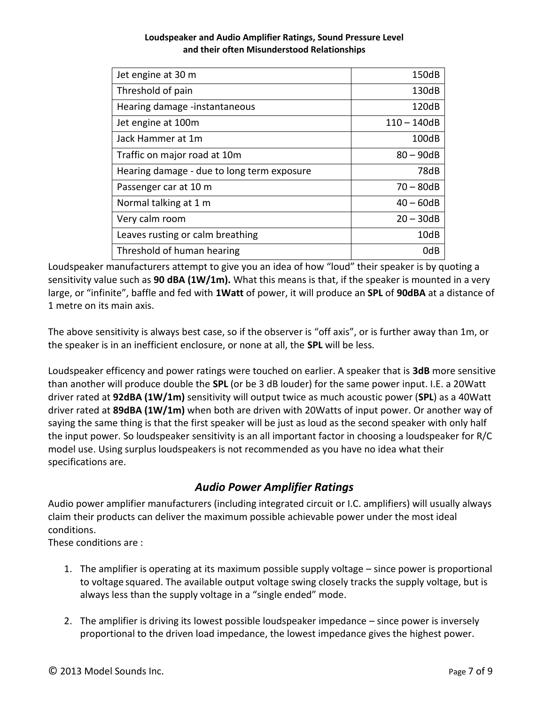| Jet engine at 30 m                         | 150dB         |
|--------------------------------------------|---------------|
| Threshold of pain                          | 130dB         |
| Hearing damage -instantaneous              | 120dB         |
| Jet engine at 100m                         | $110 - 140dB$ |
| Jack Hammer at 1m                          | 100dB         |
| Traffic on major road at 10m               | $80 - 90dB$   |
| Hearing damage - due to long term exposure | 78dB          |
| Passenger car at 10 m                      | $70 - 80dB$   |
| Normal talking at 1 m                      | $40 - 60dB$   |
| Very calm room                             | $20 - 30dB$   |
| Leaves rusting or calm breathing           | 10dB          |
| Threshold of human hearing                 | 0dB           |

Loudspeaker manufacturers attempt to give you an idea of how "loud" their speaker is by quoting a sensitivity value such as **90 dBA (1W/1m).** What this means is that, if the speaker is mounted in a very large, or "infinite", baffle and fed with **1Watt** of power, it will produce an **SPL** of **90dBA** at a distance of 1 metre on its main axis.

The above sensitivity is always best case, so if the observer is "off axis", or is further away than 1m, or the speaker is in an inefficient enclosure, or none at all, the **SPL** will be less.

Loudspeaker efficency and power ratings were touched on earlier. A speaker that is **3dB** more sensitive than another will produce double the **SPL** (or be 3 dB louder) for the same power input. I.E. a 20Watt driver rated at **92dBA (1W/1m)** sensitivity will output twice as much acoustic power (**SPL**) as a 40Watt driver rated at **89dBA (1W/1m)** when both are driven with 20Watts of input power. Or another way of saying the same thing is that the first speaker will be just as loud as the second speaker with only half the input power. So loudspeaker sensitivity is an all important factor in choosing a loudspeaker for R/C model use. Using surplus loudspeakers is not recommended as you have no idea what their specifications are.

# *Audio Power Amplifier Ratings*

<span id="page-6-0"></span>Audio power amplifier manufacturers (including integrated circuit or I.C. amplifiers) will usually always claim their products can deliver the maximum possible achievable power under the most ideal conditions.

These conditions are :

- 1. The amplifier is operating at its maximum possible supply voltage since power is proportional to voltage squared. The available output voltage swing closely tracks the supply voltage, but is always less than the supply voltage in a "single ended" mode.
- 2. The amplifier is driving its lowest possible loudspeaker impedance since power is inversely proportional to the driven load impedance, the lowest impedance gives the highest power.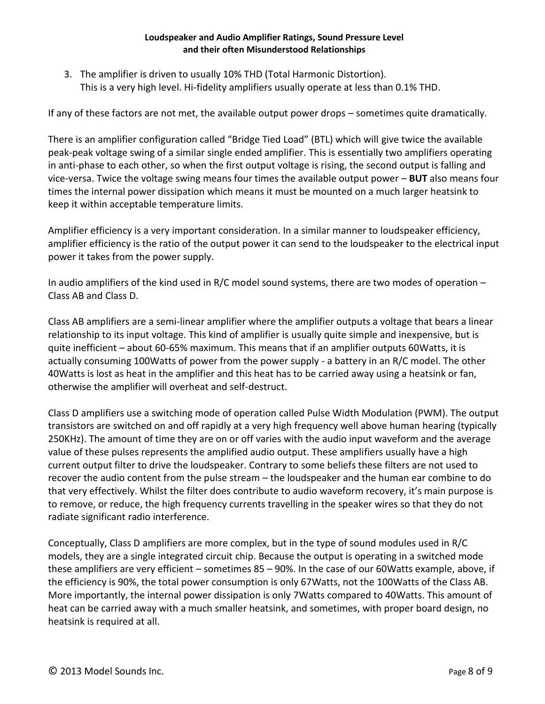3. The amplifier is driven to usually 10% THD (Total Harmonic Distortion). This is a very high level. Hi-fidelity amplifiers usually operate at less than 0.1% THD.

If any of these factors are not met, the available output power drops – sometimes quite dramatically.

There is an amplifier configuration called "Bridge Tied Load" (BTL) which will give twice the available peak-peak voltage swing of a similar single ended amplifier. This is essentially two amplifiers operating in anti-phase to each other, so when the first output voltage is rising, the second output is falling and vice-versa. Twice the voltage swing means four times the available output power – **BUT** also means four times the internal power dissipation which means it must be mounted on a much larger heatsink to keep it within acceptable temperature limits.

Amplifier efficiency is a very important consideration. In a similar manner to loudspeaker efficiency, amplifier efficiency is the ratio of the output power it can send to the loudspeaker to the electrical input power it takes from the power supply.

In audio amplifiers of the kind used in R/C model sound systems, there are two modes of operation – Class AB and Class D.

Class AB amplifiers are a semi-linear amplifier where the amplifier outputs a voltage that bears a linear relationship to its input voltage. This kind of amplifier is usually quite simple and inexpensive, but is quite inefficient – about 60-65% maximum. This means that if an amplifier outputs 60Watts, it is actually consuming 100Watts of power from the power supply - a battery in an R/C model. The other 40Watts is lost as heat in the amplifier and this heat has to be carried away using a heatsink or fan, otherwise the amplifier will overheat and self-destruct.

Class D amplifiers use a switching mode of operation called Pulse Width Modulation (PWM). The output transistors are switched on and off rapidly at a very high frequency well above human hearing (typically 250KHz). The amount of time they are on or off varies with the audio input waveform and the average value of these pulses represents the amplified audio output. These amplifiers usually have a high current output filter to drive the loudspeaker. Contrary to some beliefs these filters are not used to recover the audio content from the pulse stream – the loudspeaker and the human ear combine to do that very effectively. Whilst the filter does contribute to audio waveform recovery, it's main purpose is to remove, or reduce, the high frequency currents travelling in the speaker wires so that they do not radiate significant radio interference.

Conceptually, Class D amplifiers are more complex, but in the type of sound modules used in R/C models, they are a single integrated circuit chip. Because the output is operating in a switched mode these amplifiers are very efficient – sometimes 85 – 90%. In the case of our 60Watts example, above, if the efficiency is 90%, the total power consumption is only 67Watts, not the 100Watts of the Class AB. More importantly, the internal power dissipation is only 7Watts compared to 40Watts. This amount of heat can be carried away with a much smaller heatsink, and sometimes, with proper board design, no heatsink is required at all.